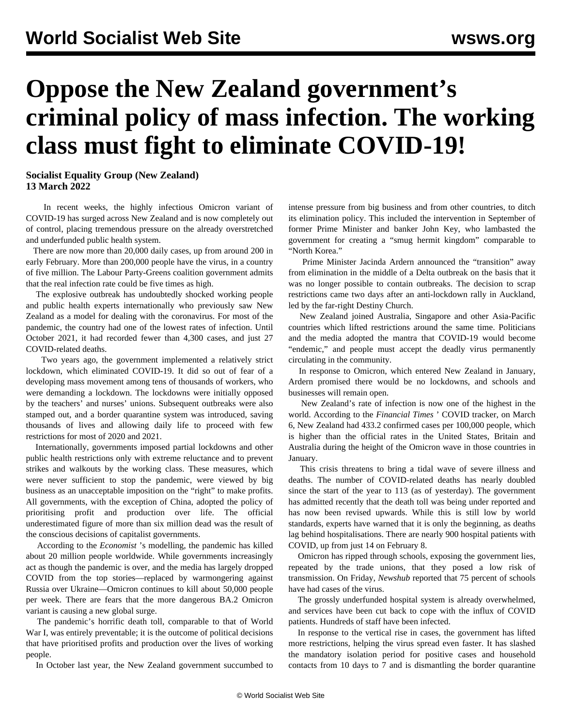## **Oppose the New Zealand government's criminal policy of mass infection. The working class must fight to eliminate COVID-19!**

**Socialist Equality Group (New Zealand) 13 March 2022**

 In recent weeks, the highly infectious Omicron variant of COVID-19 has surged across New Zealand and is now completely out of control, placing tremendous pressure on the already overstretched and underfunded public health system.

 There are now more than 20,000 daily cases, up from around 200 in early February. More than 200,000 people have the virus, in a country of five million. The Labour Party-Greens coalition government admits that the real infection rate could be five times as high.

 The explosive outbreak has undoubtedly shocked working people and public health experts internationally who previously saw New Zealand as a model for dealing with the coronavirus. For most of the pandemic, the country had one of the lowest rates of infection. Until October 2021, it had recorded fewer than 4,300 cases, and just 27 COVID-related deaths.

 Two years ago, the government implemented a relatively strict [lockdown,](/en/articles/2020/03/24/nzld-m24.html) which eliminated COVID-19. It did so out of fear of a developing mass movement among tens of thousands of workers, who were demanding a lockdown. The lockdowns were initially opposed by the teachers' and nurses' unions. Subsequent outbreaks were also stamped out, and a border quarantine system was introduced, saving thousands of lives and allowing daily life to proceed with few restrictions for most of 2020 and 2021.

 Internationally, governments imposed partial lockdowns and other public health restrictions only with extreme reluctance and to prevent strikes and walkouts by the working class. These measures, which were never sufficient to stop the pandemic, were viewed by big business as an unacceptable imposition on the "right" to make profits. All governments, with the exception of China, adopted the policy of prioritising profit and production over life. The official underestimated figure of more than six million dead was the result of the conscious decisions of capitalist governments.

 According to the *Economist* 's modelling, the pandemic has killed about 20 million people worldwide. While governments increasingly act as though the pandemic is [over](/en/articles/2022/03/03/pers-m03.html), and the media has largely dropped COVID from the top stories—replaced by warmongering against Russia over Ukraine—Omicron continues to kill about 50,000 people per week. There are fears that the more dangerous BA.2 Omicron variant is causing a new global surge.

 The pandemic's horrific death toll, comparable to that of World War I, was entirely preventable; it is the outcome of political decisions that have prioritised profits and production over the lives of working people.

In October last year, the New Zealand government succumbed to

intense pressure from big business and from other countries, to ditch its elimination policy. This included the intervention in September of former Prime Minister and banker John Key, who lambasted the government for creating a "smug hermit kingdom" comparable to "North Korea."

 Prime Minister Jacinda Ardern [announced](/en/articles/2021/10/08/segn-o08.html) the "transition" away from elimination in the middle of a Delta outbreak on the basis that it was no longer possible to contain outbreaks. The decision to scrap restrictions came two days after an anti-lockdown rally in Auckland, led by the far-right Destiny Church.

 New Zealand joined Australia, Singapore and other Asia-Pacific countries which lifted restrictions around the same time. Politicians and the media adopted the mantra that COVID-19 would become "endemic," and people must accept the deadly virus permanently circulating in the community.

 In response to Omicron, which entered New Zealand in January, Ardern promised there would be no lockdowns, and schools and businesses will remain open.

 New Zealand's rate of infection is now one of the highest in the world. According to the *Financial Times* ' COVID tracker, on March 6, New Zealand had 433.2 confirmed cases per 100,000 people, which is higher than the official rates in the United States, Britain and Australia during the height of the Omicron wave in those countries in January.

 This crisis threatens to bring a tidal wave of severe illness and deaths. The number of COVID-related deaths has nearly doubled since the start of the year to 113 (as of yesterday). The government has admitted recently that the death toll was being under reported and has now been revised upwards. While this is still low by world standards, experts have warned that it is only the beginning, as deaths lag behind hospitalisations. There are nearly 900 hospital patients with COVID, up from just 14 on February 8.

 Omicron has ripped through schools, exposing the government lies, repeated by the trade unions, that they posed a low risk of transmission. On Friday, *Newshub* reported that 75 percent of schools have had cases of the virus.

 The grossly underfunded hospital system is already overwhelmed, and services have been cut back to cope with the influx of COVID patients. Hundreds of staff have been infected.

 In response to the vertical rise in cases, the government has lifted more restrictions, helping the virus spread even faster. It has slashed the mandatory isolation period for positive cases and household contacts from 10 days to 7 and is dismantling the border quarantine